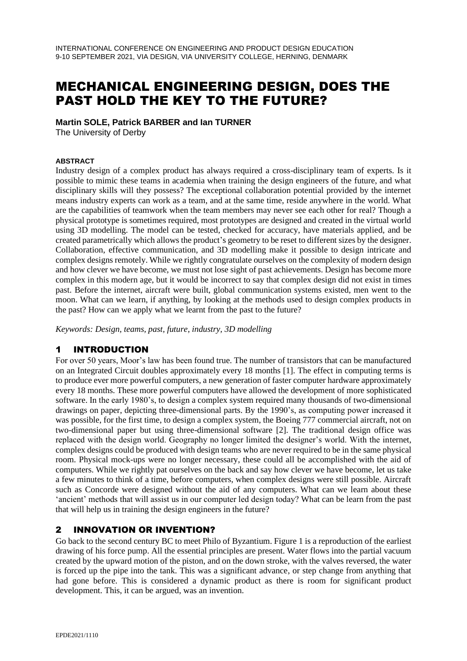# MECHANICAL ENGINEERING DESIGN, DOES THE PAST HOLD THE KEY TO THE FUTURE?

#### **Martin SOLE, Patrick BARBER and Ian TURNER**

The University of Derby

#### **ABSTRACT**

Industry design of a complex product has always required a cross-disciplinary team of experts. Is it possible to mimic these teams in academia when training the design engineers of the future, and what disciplinary skills will they possess? The exceptional collaboration potential provided by the internet means industry experts can work as a team, and at the same time, reside anywhere in the world. What are the capabilities of teamwork when the team members may never see each other for real? Though a physical prototype is sometimes required, most prototypes are designed and created in the virtual world using 3D modelling. The model can be tested, checked for accuracy, have materials applied, and be created parametrically which allows the product's geometry to be reset to different sizes by the designer. Collaboration, effective communication, and 3D modelling make it possible to design intricate and complex designs remotely. While we rightly congratulate ourselves on the complexity of modern design and how clever we have become, we must not lose sight of past achievements. Design has become more complex in this modern age, but it would be incorrect to say that complex design did not exist in times past. Before the internet, aircraft were built, global communication systems existed, men went to the moon. What can we learn, if anything, by looking at the methods used to design complex products in the past? How can we apply what we learnt from the past to the future?

*Keywords: Design, teams, past, future, industry, 3D modelling*

## 1 INTRODUCTION

For over 50 years, Moor's law has been found true. The number of transistors that can be manufactured on an Integrated Circuit doubles approximately every 18 months [1]. The effect in computing terms is to produce ever more powerful computers, a new generation of faster computer hardware approximately every 18 months. These more powerful computers have allowed the development of more sophisticated software. In the early 1980's, to design a complex system required many thousands of two-dimensional drawings on paper, depicting three-dimensional parts. By the 1990's, as computing power increased it was possible, for the first time, to design a complex system, the Boeing 777 commercial aircraft, not on two-dimensional paper but using three-dimensional software [2]. The traditional design office was replaced with the design world. Geography no longer limited the designer's world. With the internet, complex designs could be produced with design teams who are never required to be in the same physical room. Physical mock-ups were no longer necessary, these could all be accomplished with the aid of computers. While we rightly pat ourselves on the back and say how clever we have become, let us take a few minutes to think of a time, before computers, when complex designs were still possible. Aircraft such as Concorde were designed without the aid of any computers. What can we learn about these 'ancient' methods that will assist us in our computer led design today? What can be learn from the past that will help us in training the design engineers in the future?

#### 2 INNOVATION OR INVENTION?

Go back to the second century BC to meet Philo of Byzantium. Figure 1 is a reproduction of the earliest drawing of his force pump. All the essential principles are present. Water flows into the partial vacuum created by the upward motion of the piston, and on the down stroke, with the valves reversed, the water is forced up the pipe into the tank. This was a significant advance, or step change from anything that had gone before. This is considered a dynamic product as there is room for significant product development. This, it can be argued, was an invention.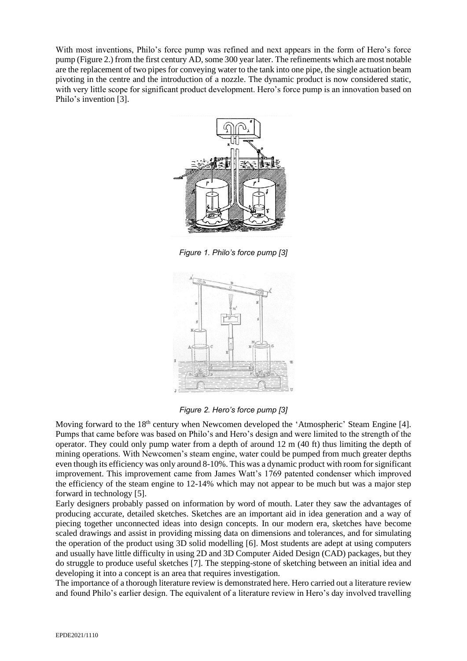With most inventions, Philo's force pump was refined and next appears in the form of Hero's force pump (Figure 2.) from the first century AD, some 300 year later. The refinements which are most notable are the replacement of two pipes for conveying water to the tank into one pipe, the single actuation beam pivoting in the centre and the introduction of a nozzle. The dynamic product is now considered static, with very little scope for significant product development. Hero's force pump is an innovation based on Philo's invention [3].



*Figure 1. Philo's force pump [3]*



*Figure 2. Hero's force pump [3]*

Moving forward to the 18<sup>th</sup> century when Newcomen developed the 'Atmospheric' Steam Engine [4]. Pumps that came before was based on Philo's and Hero's design and were limited to the strength of the operator. They could only pump water from a depth of around 12 m (40 ft) thus limiting the depth of mining operations. With Newcomen's steam engine, water could be pumped from much greater depths even though its efficiency was only around 8-10%. This was a dynamic product with room for significant improvement. This improvement came from James Watt's 1769 patented condenser which improved the efficiency of the steam engine to 12-14% which may not appear to be much but was a major step forward in technology [5].

Early designers probably passed on information by word of mouth. Later they saw the advantages of producing accurate, detailed sketches. Sketches are an important aid in idea generation and a way of piecing together unconnected ideas into design concepts. In our modern era, sketches have become scaled drawings and assist in providing missing data on dimensions and tolerances, and for simulating the operation of the product using 3D solid modelling [6]. Most students are adept at using computers and usually have little difficulty in using 2D and 3D Computer Aided Design (CAD) packages, but they do struggle to produce useful sketches [7]. The stepping-stone of sketching between an initial idea and developing it into a concept is an area that requires investigation.

The importance of a thorough literature review is demonstrated here. Hero carried out a literature review and found Philo's earlier design. The equivalent of a literature review in Hero's day involved travelling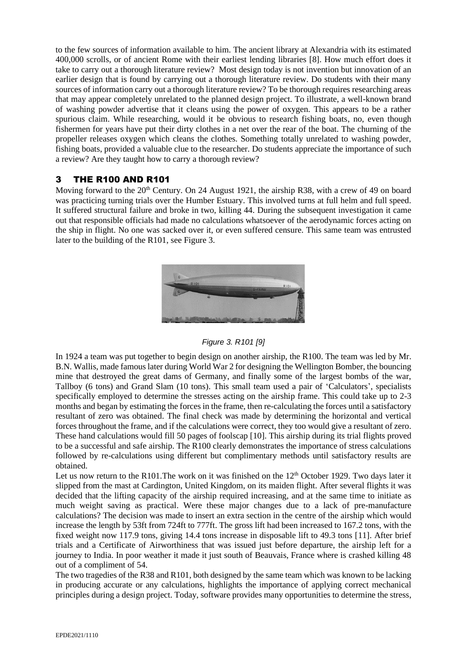to the few sources of information available to him. The ancient library at Alexandria with its estimated 400,000 scrolls, or of ancient Rome with their earliest lending libraries [8]. How much effort does it take to carry out a thorough literature review? Most design today is not invention but innovation of an earlier design that is found by carrying out a thorough literature review. Do students with their many sources of information carry out a thorough literature review? To be thorough requires researching areas that may appear completely unrelated to the planned design project. To illustrate, a well-known brand of washing powder advertise that it cleans using the power of oxygen. This appears to be a rather spurious claim. While researching, would it be obvious to research fishing boats, no, even though fishermen for years have put their dirty clothes in a net over the rear of the boat. The churning of the propeller releases oxygen which cleans the clothes. Something totally unrelated to washing powder, fishing boats, provided a valuable clue to the researcher. Do students appreciate the importance of such a review? Are they taught how to carry a thorough review?

## 3 THE R100 AND R101

Moving forward to the  $20<sup>th</sup>$  Century. On 24 August 1921, the airship R38, with a crew of 49 on board was practicing turning trials over the Humber Estuary. This involved turns at full helm and full speed. It suffered structural failure and broke in two, killing 44. During the subsequent investigation it came out that responsible officials had made no calculations whatsoever of the aerodynamic forces acting on the ship in flight. No one was sacked over it, or even suffered censure. This same team was entrusted later to the building of the R101, see Figure 3.



*Figure 3. R101 [9]*

In 1924 a team was put together to begin design on another airship, the R100. The team was led by Mr. B.N. Wallis, made famous later during World War 2 for designing the Wellington Bomber, the bouncing mine that destroyed the great dams of Germany, and finally some of the largest bombs of the war, Tallboy (6 tons) and Grand Slam (10 tons). This small team used a pair of 'Calculators', specialists specifically employed to determine the stresses acting on the airship frame. This could take up to 2-3 months and began by estimating the forces in the frame, then re-calculating the forces until a satisfactory resultant of zero was obtained. The final check was made by determining the horizontal and vertical forces throughout the frame, and if the calculations were correct, they too would give a resultant of zero. These hand calculations would fill 50 pages of foolscap [10]. This airship during its trial flights proved to be a successful and safe airship. The R100 clearly demonstrates the importance of stress calculations followed by re-calculations using different but complimentary methods until satisfactory results are obtained.

Let us now return to the R101. The work on it was finished on the  $12<sup>th</sup>$  October 1929. Two days later it slipped from the mast at Cardington, United Kingdom, on its maiden flight. After several flights it was decided that the lifting capacity of the airship required increasing, and at the same time to initiate as much weight saving as practical. Were these major changes due to a lack of pre-manufacture calculations? The decision was made to insert an extra section in the centre of the airship which would increase the length by 53ft from 724ft to 777ft. The gross lift had been increased to 167.2 tons, with the fixed weight now 117.9 tons, giving 14.4 tons increase in disposable lift to 49.3 tons [11]. After brief trials and a Certificate of Airworthiness that was issued just before departure, the airship left for a journey to India. In poor weather it made it just south of Beauvais, France where is crashed killing 48 out of a compliment of 54.

The two tragedies of the R38 and R101, both designed by the same team which was known to be lacking in producing accurate or any calculations, highlights the importance of applying correct mechanical principles during a design project. Today, software provides many opportunities to determine the stress,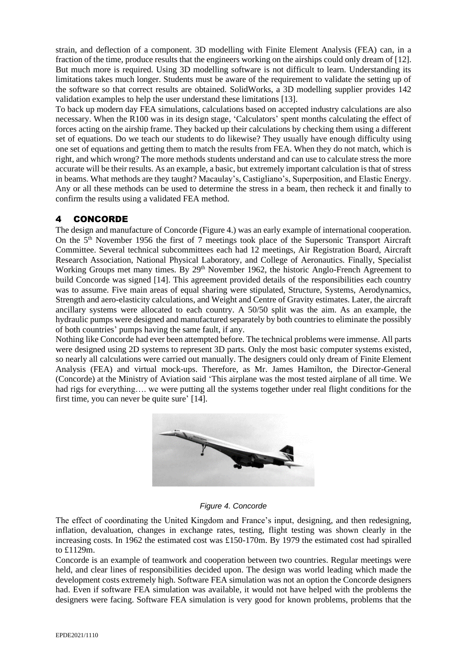strain, and deflection of a component. 3D modelling with Finite Element Analysis (FEA) can, in a fraction of the time, produce results that the engineers working on the airships could only dream of [12]. But much more is required. Using 3D modelling software is not difficult to learn. Understanding its limitations takes much longer. Students must be aware of the requirement to validate the setting up of the software so that correct results are obtained. SolidWorks, a 3D modelling supplier provides 142 validation examples to help the user understand these limitations [13].

To back up modern day FEA simulations, calculations based on accepted industry calculations are also necessary. When the R100 was in its design stage, 'Calculators' spent months calculating the effect of forces acting on the airship frame. They backed up their calculations by checking them using a different set of equations. Do we teach our students to do likewise? They usually have enough difficulty using one set of equations and getting them to match the results from FEA. When they do not match, which is right, and which wrong? The more methods students understand and can use to calculate stress the more accurate will be their results. As an example, a basic, but extremely important calculation is that of stress in beams. What methods are they taught? Macaulay's, Castigliano's, Superposition, and Elastic Energy. Any or all these methods can be used to determine the stress in a beam, then recheck it and finally to confirm the results using a validated FEA method.

# 4 CONCORDE

The design and manufacture of Concorde (Figure 4.) was an early example of international cooperation. On the 5th November 1956 the first of 7 meetings took place of the Supersonic Transport Aircraft Committee. Several technical subcommittees each had 12 meetings, Air Registration Board, Aircraft Research Association, National Physical Laboratory, and College of Aeronautics. Finally, Specialist Working Groups met many times. By 29<sup>th</sup> November 1962, the historic Anglo-French Agreement to build Concorde was signed [14]. This agreement provided details of the responsibilities each country was to assume. Five main areas of equal sharing were stipulated, Structure, Systems, Aerodynamics, Strength and aero-elasticity calculations, and Weight and Centre of Gravity estimates. Later, the aircraft ancillary systems were allocated to each country. A 50/50 split was the aim. As an example, the hydraulic pumps were designed and manufactured separately by both countries to eliminate the possibly of both countries' pumps having the same fault, if any.

Nothing like Concorde had ever been attempted before. The technical problems were immense. All parts were designed using 2D systems to represent 3D parts. Only the most basic computer systems existed, so nearly all calculations were carried out manually. The designers could only dream of Finite Element Analysis (FEA) and virtual mock-ups. Therefore, as Mr. James Hamilton, the Director-General (Concorde) at the Ministry of Aviation said 'This airplane was the most tested airplane of all time. We had rigs for everything.... we were putting all the systems together under real flight conditions for the first time, you can never be quite sure' [14].



*Figure 4. Concorde*

The effect of coordinating the United Kingdom and France's input, designing, and then redesigning, inflation, devaluation, changes in exchange rates, testing, flight testing was shown clearly in the increasing costs. In 1962 the estimated cost was £150-170m. By 1979 the estimated cost had spiralled to £1129m.

Concorde is an example of teamwork and cooperation between two countries. Regular meetings were held, and clear lines of responsibilities decided upon. The design was world leading which made the development costs extremely high. Software FEA simulation was not an option the Concorde designers had. Even if software FEA simulation was available, it would not have helped with the problems the designers were facing. Software FEA simulation is very good for known problems, problems that the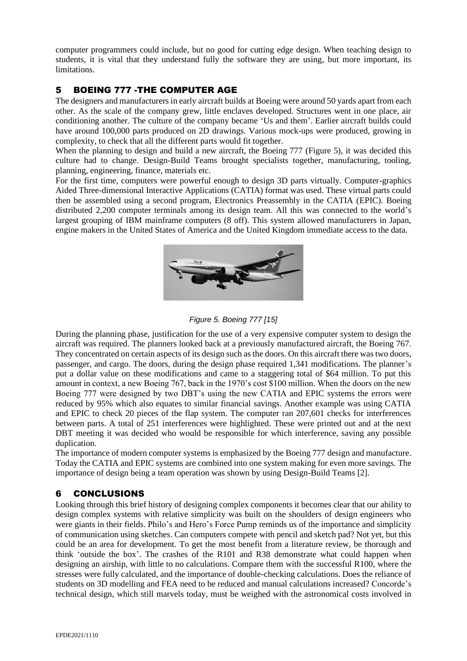computer programmers could include, but no good for cutting edge design. When teaching design to students, it is vital that they understand fully the software they are using, but more important, its limitations.

# 5 BOEING 777 -THE COMPUTER AGE

The designers and manufacturers in early aircraft builds at Boeing were around 50 yards apart from each other. As the scale of the company grew, little enclaves developed. Structures went in one place, air conditioning another. The culture of the company became 'Us and them'. Earlier aircraft builds could have around 100,000 parts produced on 2D drawings. Various mock-ups were produced, growing in complexity, to check that all the different parts would fit together.

When the planning to design and build a new aircraft, the Boeing 777 (Figure 5), it was decided this culture had to change. Design-Build Teams brought specialists together, manufacturing, tooling, planning, engineering, finance, materials etc.

For the first time, computers were powerful enough to design 3D parts virtually. Computer-graphics Aided Three-dimensional Interactive Applications (CATIA) format was used. These virtual parts could then be assembled using a second program, Electronics Preassembly in the CATIA (EPIC). Boeing distributed 2,200 computer terminals among its design team. All this was connected to the world's largest grouping of IBM mainframe computers (8 off). This system allowed manufacturers in Japan, engine makers in the United States of America and the United Kingdom immediate access to the data.



*Figure 5. Boeing 777 [15]*

During the planning phase, justification for the use of a very expensive computer system to design the aircraft was required. The planners looked back at a previously manufactured aircraft, the Boeing 767. They concentrated on certain aspects of its design such as the doors. On this aircraft there was two doors, passenger, and cargo. The doors, during the design phase required 1,341 modifications. The planner's put a dollar value on these modifications and came to a staggering total of \$64 million. To put this amount in context, a new Boeing 767, back in the 1970's cost \$100 million. When the doors on the new Boeing 777 were designed by two DBT's using the new CATIA and EPIC systems the errors were reduced by 95% which also equates to similar financial savings. Another example was using CATIA and EPIC to check 20 pieces of the flap system. The computer ran 207,601 checks for interferences between parts. A total of 251 interferences were highlighted. These were printed out and at the next DBT meeting it was decided who would be responsible for which interference, saving any possible duplication.

The importance of modern computer systems is emphasized by the Boeing 777 design and manufacture. Today the CATIA and EPIC systems are combined into one system making for even more savings. The importance of design being a team operation was shown by using Design-Build Teams [2].

## 6 CONCLUSIONS

Looking through this brief history of designing complex components it becomes clear that our ability to design complex systems with relative simplicity was built on the shoulders of design engineers who were giants in their fields. Philo's and Hero's Force Pump reminds us of the importance and simplicity of communication using sketches. Can computers compete with pencil and sketch pad? Not yet, but this could be an area for development. To get the most benefit from a literature review, be thorough and think 'outside the box'. The crashes of the R101 and R38 demonstrate what could happen when designing an airship, with little to no calculations. Compare them with the successful R100, where the stresses were fully calculated, and the importance of double-checking calculations. Does the reliance of students on 3D modelling and FEA need to be reduced and manual calculations increased? Concorde's technical design, which still marvels today, must be weighed with the astronomical costs involved in